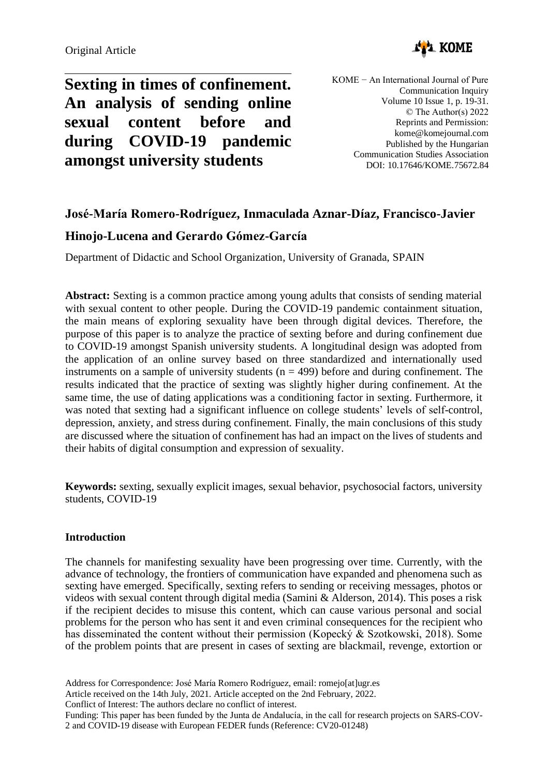

**Sexting in times of confinement. An analysis of sending online sexual content before and during COVID-19 pandemic amongst university students**

KOME − An International Journal of Pure Communication Inquiry Volume 10 Issue 1, p. 19-31. © The Author(s) 2022 Reprints and Permission: kome@komejournal.com Published by the Hungarian Communication Studies Association DOI: 10.17646/KOME.75672.84

# **José-María Romero-Rodríguez, Inmaculada Aznar-Díaz, Francisco-Javier**

# **Hinojo-Lucena and Gerardo Gómez-García**

Department of Didactic and School Organization, University of Granada, SPAIN

**Abstract:** Sexting is a common practice among young adults that consists of sending material with sexual content to other people. During the COVID-19 pandemic containment situation, the main means of exploring sexuality have been through digital devices. Therefore, the purpose of this paper is to analyze the practice of sexting before and during confinement due to COVID-19 amongst Spanish university students. A longitudinal design was adopted from the application of an online survey based on three standardized and internationally used instruments on a sample of university students  $(n = 499)$  before and during confinement. The results indicated that the practice of sexting was slightly higher during confinement. At the same time, the use of dating applications was a conditioning factor in sexting. Furthermore, it was noted that sexting had a significant influence on college students' levels of self-control, depression, anxiety, and stress during confinement. Finally, the main conclusions of this study are discussed where the situation of confinement has had an impact on the lives of students and their habits of digital consumption and expression of sexuality.

**Keywords:** sexting, sexually explicit images, sexual behavior, psychosocial factors, university students, COVID-19

# **Introduction**

The channels for manifesting sexuality have been progressing over time. Currently, with the advance of technology, the frontiers of communication have expanded and phenomena such as sexting have emerged. Specifically, sexting refers to sending or receiving messages, photos or videos with sexual content through digital media (Samini & Alderson, 2014). This poses a risk if the recipient decides to misuse this content, which can cause various personal and social problems for the person who has sent it and even criminal consequences for the recipient who has disseminated the content without their permission (Kopecký & Szotkowski, 2018). Some of the problem points that are present in cases of sexting are blackmail, revenge, extortion or

Address for Correspondence: José María Romero Rodríguez, email: romejo[at]ugr.es

Article received on the 14th July, 2021. Article accepted on the 2nd February, 2022.

Conflict of Interest: The authors declare no conflict of interest.

Funding: This paper has been funded by the Junta de Andalucía, in the call for research projects on SARS-COV-2 and COVID-19 disease with European FEDER funds (Reference: CV20-01248)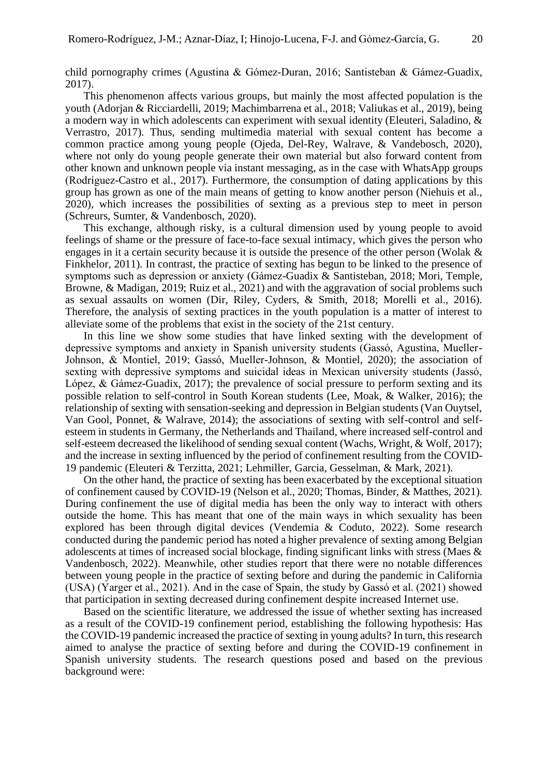child pornography crimes (Agustina & Gómez-Duran, 2016; Santisteban & Gámez-Guadix, 2017).

This phenomenon affects various groups, but mainly the most affected population is the youth (Adorjan & Ricciardelli, 2019; Machimbarrena et al., 2018; Valiukas et al., 2019), being a modern way in which adolescents can experiment with sexual identity (Eleuteri, Saladino, & Verrastro, 2017). Thus, sending multimedia material with sexual content has become a common practice among young people (Ojeda, Del-Rey, Walrave, & Vandebosch, 2020), where not only do young people generate their own material but also forward content from other known and unknown people via instant messaging, as in the case with WhatsApp groups (Rodríguez-Castro et al., 2017). Furthermore, the consumption of dating applications by this group has grown as one of the main means of getting to know another person (Niehuis et al., 2020), which increases the possibilities of sexting as a previous step to meet in person (Schreurs, Sumter, & Vandenbosch, 2020).

This exchange, although risky, is a cultural dimension used by young people to avoid feelings of shame or the pressure of face-to-face sexual intimacy, which gives the person who engages in it a certain security because it is outside the presence of the other person (Wolak & Finkhelor, 2011). In contrast, the practice of sexting has begun to be linked to the presence of symptoms such as depression or anxiety (Gámez-Guadix & Santisteban, 2018; Mori, Temple, Browne, & Madigan, 2019; Ruiz et al., 2021) and with the aggravation of social problems such as sexual assaults on women (Dir, Riley, Cyders, & Smith, 2018; Morelli et al., 2016). Therefore, the analysis of sexting practices in the youth population is a matter of interest to alleviate some of the problems that exist in the society of the 21st century.

In this line we show some studies that have linked sexting with the development of depressive symptoms and anxiety in Spanish university students (Gassó, Agustina, Mueller-Johnson, & Montiel, 2019; Gassó, Mueller-Johnson, & Montiel, 2020); the association of sexting with depressive symptoms and suicidal ideas in Mexican university students (Jassó, López, & Gámez-Guadix, 2017); the prevalence of social pressure to perform sexting and its possible relation to self-control in South Korean students (Lee, Moak, & Walker, 2016); the relationship of sexting with sensation-seeking and depression in Belgian students (Van Ouytsel, Van Gool, Ponnet, & Walrave, 2014); the associations of sexting with self-control and selfesteem in students in Germany, the Netherlands and Thailand, where increased self-control and self-esteem decreased the likelihood of sending sexual content (Wachs, Wright, & Wolf, 2017); and the increase in sexting influenced by the period of confinement resulting from the COVID-19 pandemic (Eleuteri & Terzitta, 2021; Lehmiller, Garcia, Gesselman, & Mark, 2021).

On the other hand, the practice of sexting has been exacerbated by the exceptional situation of confinement caused by COVID-19 (Nelson et al., 2020; Thomas, Binder, & Matthes, 2021). During confinement the use of digital media has been the only way to interact with others outside the home. This has meant that one of the main ways in which sexuality has been explored has been through digital devices (Vendemia & Coduto, 2022). Some research conducted during the pandemic period has noted a higher prevalence of sexting among Belgian adolescents at times of increased social blockage, finding significant links with stress (Maes & Vandenbosch, 2022). Meanwhile, other studies report that there were no notable differences between young people in the practice of sexting before and during the pandemic in California (USA) (Yarger et al., 2021). And in the case of Spain, the study by Gassó et al. (2021) showed that participation in sexting decreased during confinement despite increased Internet use.

Based on the scientific literature, we addressed the issue of whether sexting has increased as a result of the COVID-19 confinement period, establishing the following hypothesis: Has the COVID-19 pandemic increased the practice of sexting in young adults? In turn, this research aimed to analyse the practice of sexting before and during the COVID-19 confinement in Spanish university students. The research questions posed and based on the previous background were: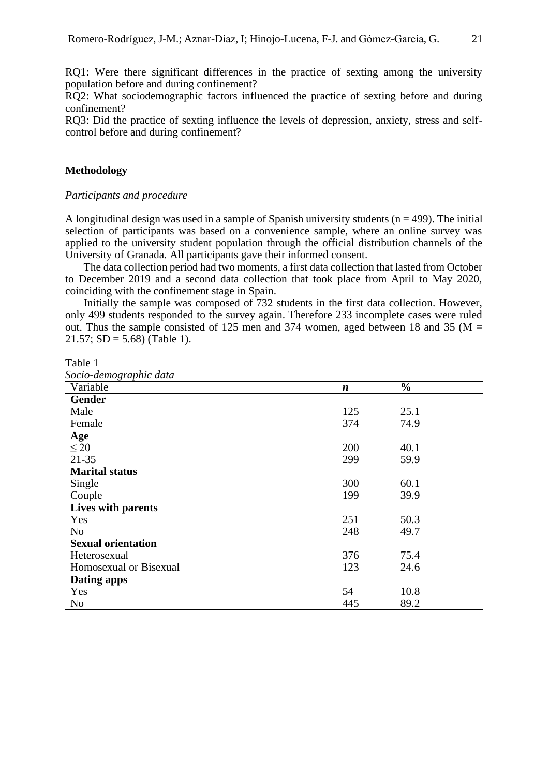RQ1: Were there significant differences in the practice of sexting among the university population before and during confinement?

RQ2: What sociodemographic factors influenced the practice of sexting before and during confinement?

RQ3: Did the practice of sexting influence the levels of depression, anxiety, stress and selfcontrol before and during confinement?

## **Methodology**

## *Participants and procedure*

A longitudinal design was used in a sample of Spanish university students ( $n = 499$ ). The initial selection of participants was based on a convenience sample, where an online survey was applied to the university student population through the official distribution channels of the University of Granada. All participants gave their informed consent.

The data collection period had two moments, a first data collection that lasted from October to December 2019 and a second data collection that took place from April to May 2020, coinciding with the confinement stage in Spain.

Initially the sample was composed of 732 students in the first data collection. However, only 499 students responded to the survey again. Therefore 233 incomplete cases were ruled out. Thus the sample consisted of 125 men and 374 women, aged between 18 and 35 ( $M =$  $21.57$ ; SD = 5.68) (Table 1).

Table 1

| Socio-demographic data |
|------------------------|
|------------------------|

| $\cdots$ $\cdots$ $\cdots$<br>Variable | $\boldsymbol{n}$ | $\frac{0}{0}$ |  |
|----------------------------------------|------------------|---------------|--|
| <b>Gender</b>                          |                  |               |  |
| Male                                   | 125              | 25.1          |  |
| Female                                 | 374              | 74.9          |  |
| Age                                    |                  |               |  |
| $\leq 20$                              | 200              | 40.1          |  |
| $21 - 35$                              | 299              | 59.9          |  |
| <b>Marital status</b>                  |                  |               |  |
| Single                                 | 300              | 60.1          |  |
| Couple                                 | 199              | 39.9          |  |
| Lives with parents                     |                  |               |  |
| Yes                                    | 251              | 50.3          |  |
| N <sub>o</sub>                         | 248              | 49.7          |  |
| <b>Sexual orientation</b>              |                  |               |  |
| Heterosexual                           | 376              | 75.4          |  |
| Homosexual or Bisexual                 | 123              | 24.6          |  |
| Dating apps                            |                  |               |  |
| Yes                                    | 54               | 10.8          |  |
| N <sub>0</sub>                         | 445              | 89.2          |  |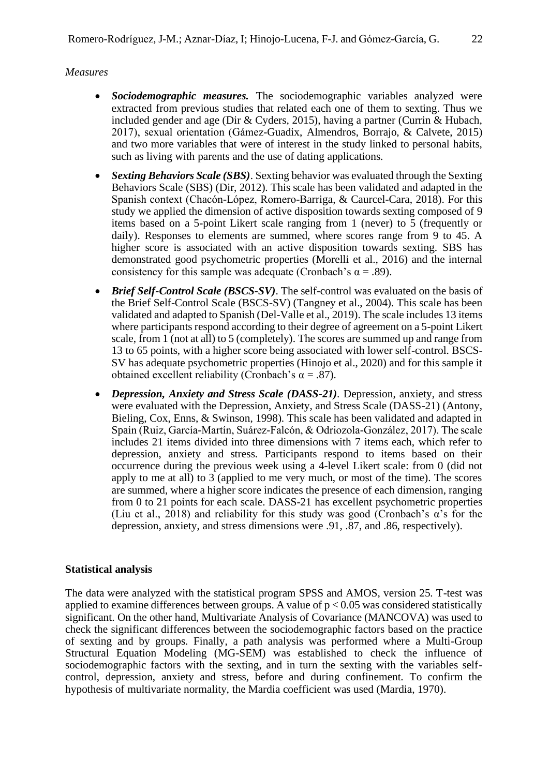# *Measures*

- *Sociodemographic measures.* The sociodemographic variables analyzed were extracted from previous studies that related each one of them to sexting. Thus we included gender and age (Dir & Cyders, 2015), having a partner (Currin & Hubach, 2017), sexual orientation (Gámez-Guadix, Almendros, Borrajo, & Calvete, 2015) and two more variables that were of interest in the study linked to personal habits, such as living with parents and the use of dating applications.
- *Sexting Behaviors Scale (SBS)*. Sexting behavior was evaluated through the Sexting Behaviors Scale (SBS) (Dir, 2012). This scale has been validated and adapted in the Spanish context (Chacón-López, Romero-Barriga, & Caurcel-Cara, 2018). For this study we applied the dimension of active disposition towards sexting composed of 9 items based on a 5-point Likert scale ranging from 1 (never) to 5 (frequently or daily). Responses to elements are summed, where scores range from 9 to 45. A higher score is associated with an active disposition towards sexting. SBS has demonstrated good psychometric properties (Morelli et al., 2016) and the internal consistency for this sample was adequate (Cronbach's  $\alpha = .89$ ).
- *Brief Self-Control Scale (BSCS-SV)*. The self-control was evaluated on the basis of the Brief Self-Control Scale (BSCS-SV) (Tangney et al., 2004). This scale has been validated and adapted to Spanish (Del-Valle et al., 2019). The scale includes 13 items where participants respond according to their degree of agreement on a 5-point Likert scale, from 1 (not at all) to 5 (completely). The scores are summed up and range from 13 to 65 points, with a higher score being associated with lower self-control. BSCS-SV has adequate psychometric properties (Hinojo et al., 2020) and for this sample it obtained excellent reliability (Cronbach's  $\alpha = .87$ ).
- *Depression, Anxiety and Stress Scale (DASS-21)*. Depression, anxiety, and stress were evaluated with the Depression, Anxiety, and Stress Scale (DASS-21) (Antony, Bieling, Cox, Enns, & Swinson, 1998). This scale has been validated and adapted in Spain (Ruiz, García-Martín, Suárez-Falcón, & Odriozola-González, 2017). The scale includes 21 items divided into three dimensions with 7 items each, which refer to depression, anxiety and stress. Participants respond to items based on their occurrence during the previous week using a 4-level Likert scale: from 0 (did not apply to me at all) to 3 (applied to me very much, or most of the time). The scores are summed, where a higher score indicates the presence of each dimension, ranging from 0 to 21 points for each scale. DASS-21 has excellent psychometric properties (Liu et al., 2018) and reliability for this study was good (Cronbach's α's for the depression, anxiety, and stress dimensions were .91, .87, and .86, respectively).

# **Statistical analysis**

The data were analyzed with the statistical program SPSS and AMOS, version 25. T-test was applied to examine differences between groups. A value of  $p < 0.05$  was considered statistically significant. On the other hand, Multivariate Analysis of Covariance (MANCOVA) was used to check the significant differences between the sociodemographic factors based on the practice of sexting and by groups. Finally, a path analysis was performed where a Multi-Group Structural Equation Modeling (MG-SEM) was established to check the influence of sociodemographic factors with the sexting, and in turn the sexting with the variables selfcontrol, depression, anxiety and stress, before and during confinement. To confirm the hypothesis of multivariate normality, the Mardia coefficient was used (Mardia, 1970).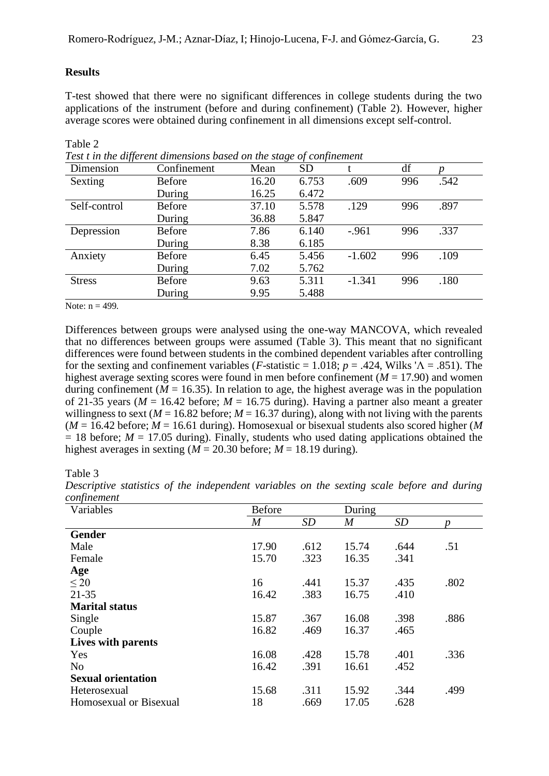#### **Results**

T-test showed that there were no significant differences in college students during the two applications of the instrument (before and during confinement) (Table 2). However, higher average scores were obtained during confinement in all dimensions except self-control.

| -- 77<br>Dimension | Confinement   | Mean  | <b>SD</b> |          | df  |      |
|--------------------|---------------|-------|-----------|----------|-----|------|
| Sexting            | <b>Before</b> | 16.20 | 6.753     | .609     | 996 | .542 |
|                    | During        | 16.25 | 6.472     |          |     |      |
| Self-control       | <b>Before</b> | 37.10 | 5.578     | .129     | 996 | .897 |
|                    | During        | 36.88 | 5.847     |          |     |      |
| Depression         | <b>Before</b> | 7.86  | 6.140     | $-961$   | 996 | .337 |
|                    | During        | 8.38  | 6.185     |          |     |      |
| Anxiety            | <b>Before</b> | 6.45  | 5.456     | $-1.602$ | 996 | .109 |
|                    | During        | 7.02  | 5.762     |          |     |      |
| <b>Stress</b>      | <b>Before</b> | 9.63  | 5.311     | $-1.341$ | 996 | .180 |
|                    | During        | 9.95  | 5.488     |          |     |      |

Table 2 *Test t in the different dimensions based on the stage of confinement*

Note:  $n = 499$ .

Differences between groups were analysed using the one-way MANCOVA, which revealed that no differences between groups were assumed (Table 3). This meant that no significant differences were found between students in the combined dependent variables after controlling for the sexting and confinement variables (*F*-statistic = 1.018;  $p = .424$ , Wilks ' $\Lambda = .851$ ). The highest average sexting scores were found in men before confinement ( $M = 17.90$ ) and women during confinement ( $M = 16.35$ ). In relation to age, the highest average was in the population of 21-35 years ( $M = 16.42$  before;  $M = 16.75$  during). Having a partner also meant a greater willingness to sext ( $M = 16.82$  before;  $M = 16.37$  during), along with not living with the parents  $(M = 16.42 \text{ before}; M = 16.61 \text{ during})$ . Homosexual or bisexual students also scored higher (*M*  $= 18$  before;  $M = 17.05$  during). Finally, students who used dating applications obtained the highest averages in sexting  $(M = 20.30 \text{ before}; M = 18.19 \text{ during})$ .

Table 3

| Variables                 | <b>Before</b>    |           | During |           |      |
|---------------------------|------------------|-----------|--------|-----------|------|
|                           | $\boldsymbol{M}$ | <b>SD</b> | M      | <b>SD</b> |      |
| <b>Gender</b>             |                  |           |        |           |      |
| Male                      | 17.90            | .612      | 15.74  | .644      | .51  |
| Female                    | 15.70            | .323      | 16.35  | .341      |      |
| Age                       |                  |           |        |           |      |
| $\leq 20$                 | 16               | .441      | 15.37  | .435      | .802 |
| $21 - 35$                 | 16.42            | .383      | 16.75  | .410      |      |
| <b>Marital status</b>     |                  |           |        |           |      |
| Single                    | 15.87            | .367      | 16.08  | .398      | .886 |
| Couple                    | 16.82            | .469      | 16.37  | .465      |      |
| Lives with parents        |                  |           |        |           |      |
| Yes                       | 16.08            | .428      | 15.78  | .401      | .336 |
| N <sub>o</sub>            | 16.42            | .391      | 16.61  | .452      |      |
| <b>Sexual orientation</b> |                  |           |        |           |      |
| Heterosexual              | 15.68            | .311      | 15.92  | .344      | .499 |
| Homosexual or Bisexual    | 18               | .669      | 17.05  | .628      |      |

*Descriptive statistics of the independent variables on the sexting scale before and during confinement*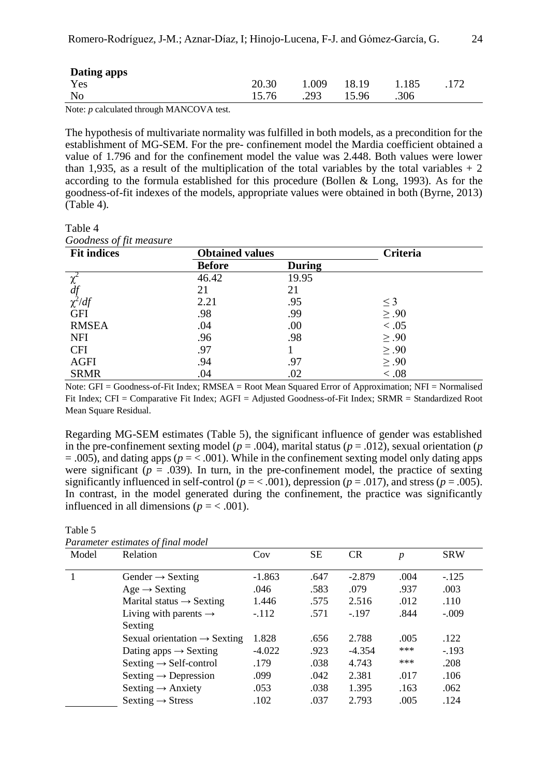| Dating apps    |       |             |       |       |  |
|----------------|-------|-------------|-------|-------|--|
| Yes            | 20.30 | <b>009.</b> | 18.19 | 1.185 |  |
| N <sub>0</sub> | 15.76 | .293        | 15.96 | .306  |  |

Note: *p* calculated through MANCOVA test.

The hypothesis of multivariate normality was fulfilled in both models, as a precondition for the establishment of MG-SEM. For the pre- confinement model the Mardia coefficient obtained a value of 1.796 and for the confinement model the value was 2.448. Both values were lower than 1,935, as a result of the multiplication of the total variables by the total variables  $+2$ according to the formula established for this procedure (Bollen & Long, 1993). As for the goodness-of-fit indexes of the models, appropriate values were obtained in both (Byrne, 2013) (Table 4).

Table 4

*Goodness of fit measure*

| $\mathbf{\mathbf{v}}$<br><b>Fit indices</b> | <b>Obtained values</b> |               | <b>Criteria</b> |  |
|---------------------------------------------|------------------------|---------------|-----------------|--|
|                                             | <b>Before</b>          | <b>During</b> |                 |  |
| $\overline{\chi^2}$                         | 46.42                  | 19.95         |                 |  |
| df                                          | 21                     | 21            |                 |  |
| $\chi^2/df$                                 | 2.21                   | .95           | $\leq$ 3        |  |
| <b>GFI</b>                                  | .98                    | .99           | $\geq .90$      |  |
| <b>RMSEA</b>                                | .04                    | .00           | < 0.05          |  |
| <b>NFI</b>                                  | .96                    | .98           | $\geq .90$      |  |
| <b>CFI</b>                                  | .97                    |               | $\geq .90$      |  |
| <b>AGFI</b>                                 | .94                    | .97           | $\geq .90$      |  |
| <b>SRMR</b>                                 | .04                    | .02           | < 0.08          |  |

Note: GFI = Goodness-of-Fit Index; RMSEA = Root Mean Squared Error of Approximation; NFI = Normalised Fit Index; CFI = Comparative Fit Index; AGFI = Adjusted Goodness-of-Fit Index; SRMR = Standardized Root Mean Square Residual.

Regarding MG-SEM estimates (Table 5), the significant influence of gender was established in the pre-confinement sexting model ( $p = .004$ ), marital status ( $p = .012$ ), sexual orientation ( $p = .012$ ) = .005), and dating apps (*p* = < .001). While in the confinement sexting model only dating apps were significant  $(p = .039)$ . In turn, in the pre-confinement model, the practice of sexting significantly influenced in self-control ( $p = 0.001$ ), depression ( $p = 0.017$ ), and stress ( $p = 0.005$ ). In contrast, in the model generated during the confinement, the practice was significantly influenced in all dimensions ( $p = < .001$ ).

|       | Parameter estimates of final model       |          |           |          |                  |            |
|-------|------------------------------------------|----------|-----------|----------|------------------|------------|
| Model | Relation                                 | Cov      | <b>SE</b> | CR       | $\boldsymbol{p}$ | <b>SRW</b> |
|       | Gender $\rightarrow$ Sexting             | $-1.863$ | .647      | $-2.879$ | .004             | $-.125$    |
|       | $Age \rightarrow$ Sexting                | .046     | .583      | .079     | .937             | .003       |
|       | Marital status $\rightarrow$ Sexting     | 1.446    | .575      | 2.516    | .012             | .110       |
|       | Living with parents $\rightarrow$        | $-.112$  | .571      | $-.197$  | .844             | $-.009$    |
|       | Sexting                                  |          |           |          |                  |            |
|       | Sexual orientation $\rightarrow$ Sexting | 1.828    | .656      | 2.788    | .005             | .122       |
|       | Dating apps $\rightarrow$ Sexting        | $-4.022$ | .923      | $-4.354$ | ***              | $-.193$    |
|       | $Sexting \rightarrow Self-control$       | .179     | .038      | 4.743    | $***$            | .208       |
|       | Sexting $\rightarrow$ Depression         | .099     | .042      | 2.381    | .017             | .106       |
|       | Sexting $\rightarrow$ Anxiety            | .053     | .038      | 1.395    | .163             | .062       |
|       | $Sexting \rightarrow Stress$             | .102     | .037      | 2.793    | .005             | .124       |

Table 5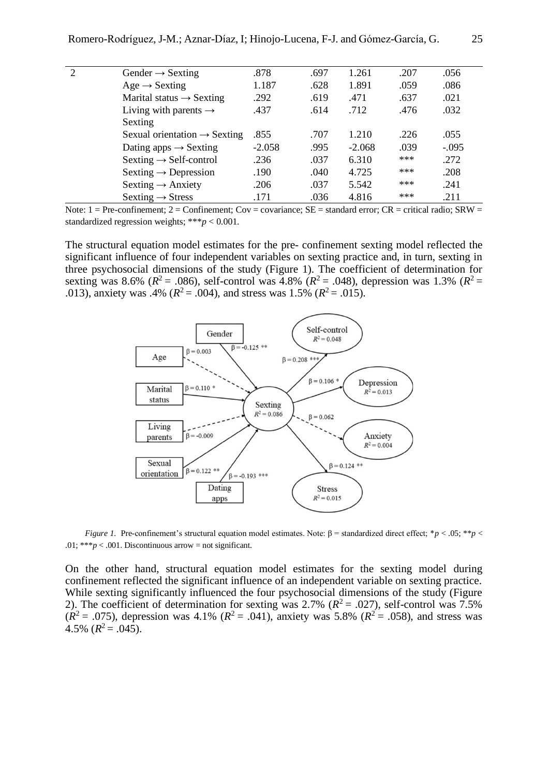| $\mathcal{D}_{\mathcal{L}}$ | Gender $\rightarrow$ Sexting             | .878     | .697 | 1.261    | .207 | .056    |
|-----------------------------|------------------------------------------|----------|------|----------|------|---------|
|                             | $Age \rightarrow$ Sexting                | 1.187    | .628 | 1.891    | .059 | .086    |
|                             | Marital status $\rightarrow$ Sexting     | .292     | .619 | .471     | .637 | .021    |
|                             | Living with parents $\rightarrow$        | .437     | .614 | .712     | .476 | .032    |
|                             | Sexting                                  |          |      |          |      |         |
|                             | Sexual orientation $\rightarrow$ Sexting | .855     | .707 | 1.210    | .226 | .055    |
|                             | Dating apps $\rightarrow$ Sexting        | $-2.058$ | .995 | $-2.068$ | .039 | $-.095$ |
|                             | Sexting $\rightarrow$ Self-control       | .236     | .037 | 6.310    | ***  | .272    |
|                             | Sexting $\rightarrow$ Depression         | .190     | .040 | 4.725    | ***  | .208    |
|                             | Sexting $\rightarrow$ Anxiety            | .206     | .037 | 5.542    | ***  | .241    |
|                             | $Sexting \rightarrow Stress$             | .171     | .036 | 4.816    | ***  | .211    |

Note:  $1 = Pre-confinement$ ;  $2 = Confinement$ ;  $Cov = covariance$ ;  $SE = standard error$ ;  $CR = critical radio$ ;  $SRW =$ standardized regression weights; \*\*\**p* < 0.001.

The structural equation model estimates for the pre- confinement sexting model reflected the significant influence of four independent variables on sexting practice and, in turn, sexting in three psychosocial dimensions of the study (Figure 1). The coefficient of determination for sexting was 8.6% ( $R^2$  = .086), self-control was 4.8% ( $R^2$  = .048), depression was 1.3% ( $R^2$  = .013), anxiety was .4% ( $R^2 = .004$ ), and stress was 1.5% ( $R^2 = .015$ ).



*Figure 1.* Pre-confinement's structural equation model estimates. Note: β = standardized direct effect; \**p* < .05; \*\**p* < .01: \*\*\* $p < .001$ . Discontinuous arrow = not significant.

On the other hand, structural equation model estimates for the sexting model during confinement reflected the significant influence of an independent variable on sexting practice. While sexting significantly influenced the four psychosocial dimensions of the study (Figure 2). The coefficient of determination for sexting was 2.7% ( $R^2 = .027$ ), self-control was 7.5%  $(R^2 = .075)$ , depression was 4.1%  $(R^2 = .041)$ , anxiety was 5.8%  $(R^2 = .058)$ , and stress was 4.5%  $(R^2 = .045)$ .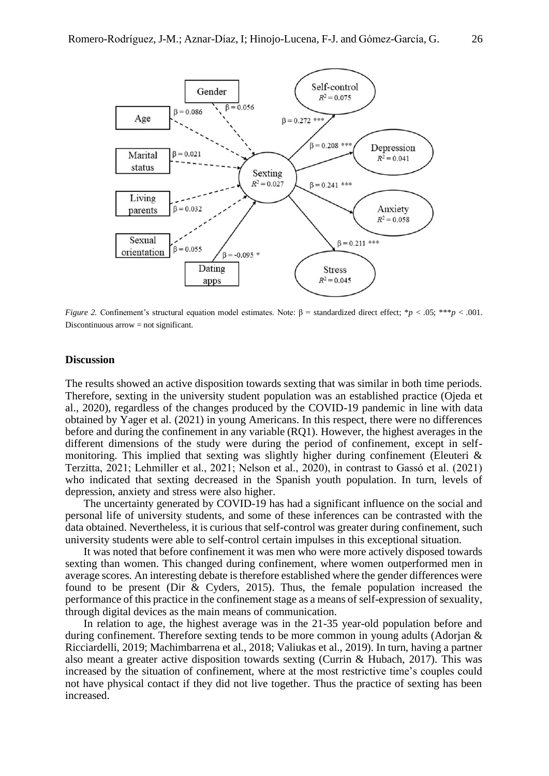

*Figure 2.* Confinement's structural equation model estimates. Note: β = standardized direct effect; \**p* < .05; \*\*\**p* < .001. Discontinuous arrow = not significant.

### **Discussion**

The results showed an active disposition towards sexting that was similar in both time periods. Therefore, sexting in the university student population was an established practice (Ojeda et al., 2020), regardless of the changes produced by the COVID-19 pandemic in line with data obtained by Yager et al. (2021) in young Americans. In this respect, there were no differences before and during the confinement in any variable (RQ1). However, the highest averages in the different dimensions of the study were during the period of confinement, except in selfmonitoring. This implied that sexting was slightly higher during confinement (Eleuteri & Terzitta, 2021; Lehmiller et al., 2021; Nelson et al., 2020), in contrast to Gassó et al. (2021) who indicated that sexting decreased in the Spanish youth population. In turn, levels of depression, anxiety and stress were also higher.

The uncertainty generated by COVID-19 has had a significant influence on the social and personal life of university students, and some of these inferences can be contrasted with the data obtained. Nevertheless, it is curious that self-control was greater during confinement, such university students were able to self-control certain impulses in this exceptional situation.

It was noted that before confinement it was men who were more actively disposed towards sexting than women. This changed during confinement, where women outperformed men in average scores. An interesting debate is therefore established where the gender differences were found to be present (Dir & Cyders, 2015). Thus, the female population increased the performance of this practice in the confinement stage as a means of self-expression of sexuality, through digital devices as the main means of communication.

In relation to age, the highest average was in the 21-35 year-old population before and during confinement. Therefore sexting tends to be more common in young adults (Adorjan & Ricciardelli, 2019; Machimbarrena et al., 2018; Valiukas et al., 2019). In turn, having a partner also meant a greater active disposition towards sexting (Currin & Hubach, 2017). This was increased by the situation of confinement, where at the most restrictive time's couples could not have physical contact if they did not live together. Thus the practice of sexting has been increased.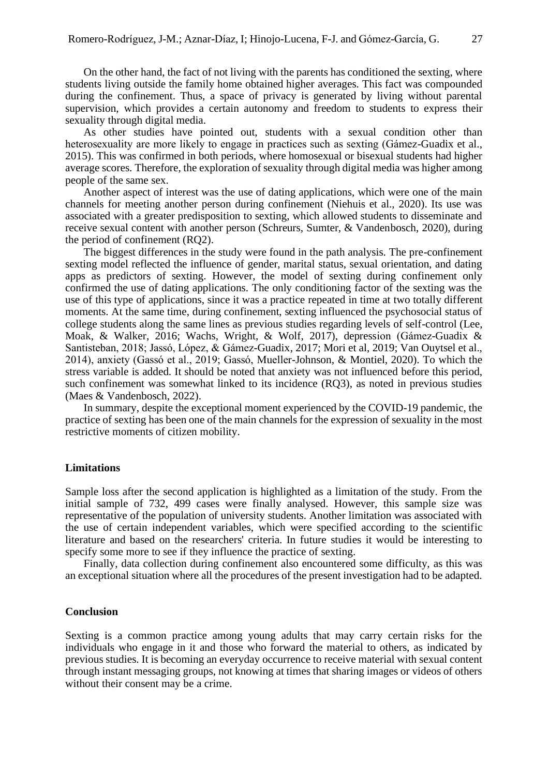On the other hand, the fact of not living with the parents has conditioned the sexting, where students living outside the family home obtained higher averages. This fact was compounded during the confinement. Thus, a space of privacy is generated by living without parental supervision, which provides a certain autonomy and freedom to students to express their sexuality through digital media.

As other studies have pointed out, students with a sexual condition other than heterosexuality are more likely to engage in practices such as sexting (Gámez-Guadix et al., 2015). This was confirmed in both periods, where homosexual or bisexual students had higher average scores. Therefore, the exploration of sexuality through digital media was higher among people of the same sex.

Another aspect of interest was the use of dating applications, which were one of the main channels for meeting another person during confinement (Niehuis et al., 2020). Its use was associated with a greater predisposition to sexting, which allowed students to disseminate and receive sexual content with another person (Schreurs, Sumter, & Vandenbosch, 2020), during the period of confinement (RQ2).

The biggest differences in the study were found in the path analysis. The pre-confinement sexting model reflected the influence of gender, marital status, sexual orientation, and dating apps as predictors of sexting. However, the model of sexting during confinement only confirmed the use of dating applications. The only conditioning factor of the sexting was the use of this type of applications, since it was a practice repeated in time at two totally different moments. At the same time, during confinement, sexting influenced the psychosocial status of college students along the same lines as previous studies regarding levels of self-control (Lee, Moak, & Walker, 2016; Wachs, Wright, & Wolf, 2017), depression (Gámez-Guadix & Santisteban, 2018; Jassó, López, & Gámez-Guadix, 2017; Mori et al, 2019; Van Ouytsel et al., 2014), anxiety (Gassó et al., 2019; Gassó, Mueller-Johnson, & Montiel, 2020). To which the stress variable is added. It should be noted that anxiety was not influenced before this period, such confinement was somewhat linked to its incidence (RQ3), as noted in previous studies (Maes & Vandenbosch, 2022).

In summary, despite the exceptional moment experienced by the COVID-19 pandemic, the practice of sexting has been one of the main channels for the expression of sexuality in the most restrictive moments of citizen mobility.

### **Limitations**

Sample loss after the second application is highlighted as a limitation of the study. From the initial sample of 732, 499 cases were finally analysed. However, this sample size was representative of the population of university students. Another limitation was associated with the use of certain independent variables, which were specified according to the scientific literature and based on the researchers' criteria. In future studies it would be interesting to specify some more to see if they influence the practice of sexting.

Finally, data collection during confinement also encountered some difficulty, as this was an exceptional situation where all the procedures of the present investigation had to be adapted.

#### **Conclusion**

Sexting is a common practice among young adults that may carry certain risks for the individuals who engage in it and those who forward the material to others, as indicated by previous studies. It is becoming an everyday occurrence to receive material with sexual content through instant messaging groups, not knowing at times that sharing images or videos of others without their consent may be a crime.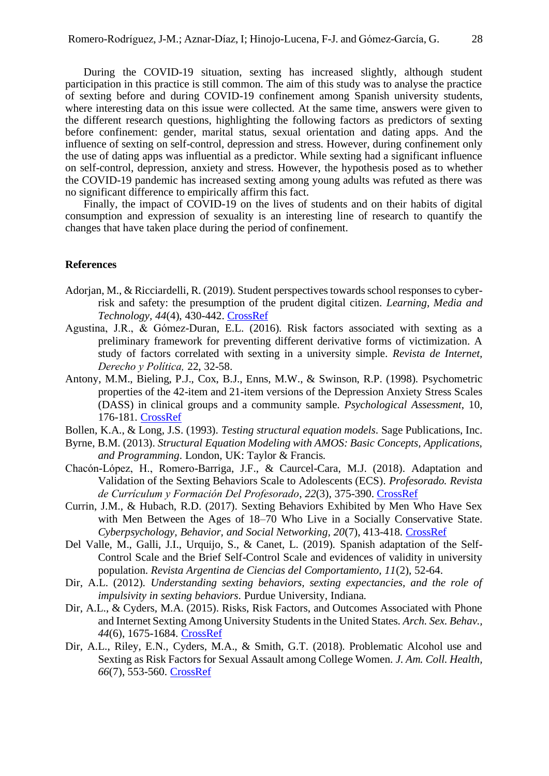During the COVID-19 situation, sexting has increased slightly, although student participation in this practice is still common. The aim of this study was to analyse the practice of sexting before and during COVID-19 confinement among Spanish university students, where interesting data on this issue were collected. At the same time, answers were given to the different research questions, highlighting the following factors as predictors of sexting before confinement: gender, marital status, sexual orientation and dating apps. And the influence of sexting on self-control, depression and stress. However, during confinement only the use of dating apps was influential as a predictor. While sexting had a significant influence on self-control, depression, anxiety and stress. However, the hypothesis posed as to whether the COVID-19 pandemic has increased sexting among young adults was refuted as there was no significant difference to empirically affirm this fact.

Finally, the impact of COVID-19 on the lives of students and on their habits of digital consumption and expression of sexuality is an interesting line of research to quantify the changes that have taken place during the period of confinement.

## **References**

- Adorian, M., & Ricciardelli, R. (2019). Student perspectives towards school responses to cyberrisk and safety: the presumption of the prudent digital citizen. *Learning, Media and Technology, 44*(4), 430-442. [CrossRef](https://doi.org/10.1080/17439884.2019.1583671)
- Agustina, J.R., & Gómez-Duran, E.L. (2016). Risk factors associated with sexting as a preliminary framework for preventing different derivative forms of victimization. A study of factors correlated with sexting in a university simple. *Revista de Internet, Derecho y Política,* 22, 32-58.
- Antony, M.M., Bieling, P.J., Cox, B.J., Enns, M.W., & Swinson, R.P. (1998). Psychometric properties of the 42-item and 21-item versions of the Depression Anxiety Stress Scales (DASS) in clinical groups and a community sample. *Psychological Assessment*, 10, 176-181. [CrossRef](https://doi.org/10.1037/1040-3590.10.2.176)
- Bollen, K.A., & Long, J.S. (1993). *Testing structural equation models*. Sage Publications, Inc.
- Byrne, B.M. (2013). *Structural Equation Modeling with AMOS: Basic Concepts, Applications, and Programming*. London, UK: Taylor & Francis.
- Chacón-López, H., Romero-Barriga, J.F., & Caurcel-Cara, M.J. (2018). Adaptation and Validation of the Sexting Behaviors Scale to Adolescents (ECS). *Profesorado. Revista de Currículum y Formación Del Profesorado*, *22*(3), 375-390. [CrossRef](https://doi.org/10.30827/profesorado.v22i3.8007)
- Currin, J.M., & Hubach, R.D. (2017). Sexting Behaviors Exhibited by Men Who Have Sex with Men Between the Ages of 18–70 Who Live in a Socially Conservative State. *Cyberpsychology, Behavior, and Social Networking, 20*(7), 413-418. [CrossRef](https://doi.org/10.1089/cyber.2017.0050)
- Del Valle, M., Galli, J.I., Urquijo, S., & Canet, L. (2019). Spanish adaptation of the Self-Control Scale and the Brief Self-Control Scale and evidences of validity in university population. *Revista Argentina de Ciencias del Comportamiento, 11*(2), 52-64.
- Dir, A.L. (2012). *Understanding sexting behaviors, sexting expectancies, and the role of impulsivity in sexting behaviors*. Purdue University, Indiana.
- Dir, A.L., & Cyders, M.A. (2015). Risks, Risk Factors, and Outcomes Associated with Phone and Internet Sexting Among University Students in the United States. *Arch. Sex. Behav., 44*(6), 1675-1684. [CrossRef](https://doi.org/10.1007/s10508-014-0370-7)
- Dir, A.L., Riley, E.N., Cyders, M.A., & Smith, G.T. (2018). Problematic Alcohol use and Sexting as Risk Factors for Sexual Assault among College Women. *J. Am. Coll. Health, 66*(7), 553-560. [CrossRef](https://doi.org/10.1080/07448481.2018.1432622)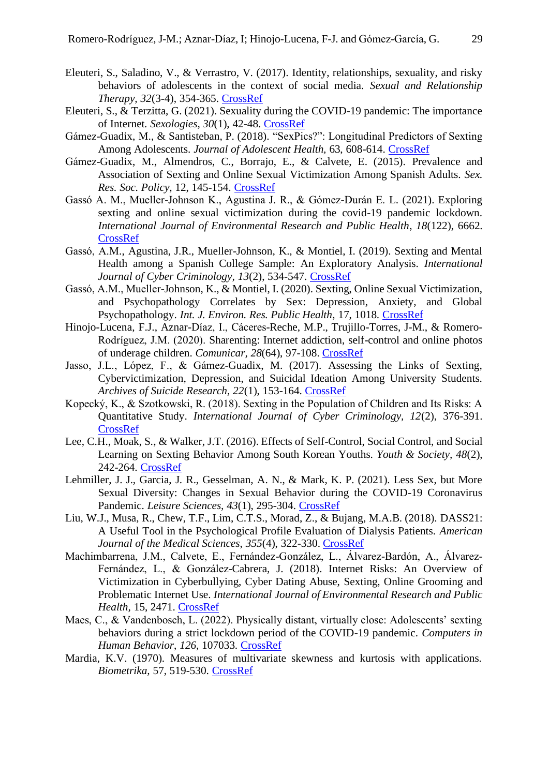- Eleuteri, S., Saladino, V., & Verrastro, V. (2017). Identity, relationships, sexuality, and risky behaviors of adolescents in the context of social media. *Sexual and Relationship Therapy, 32*(3-4), 354-365. [CrossRef](https://doi.org/10.1080/14681994.2017.1397953)
- Eleuteri, S., & Terzitta, G. (2021). Sexuality during the COVID-19 pandemic: The importance of Internet. *Sexologies, 30*(1), 42-48. [CrossRef](https://doi.org/10.1016/j.sexol.2020.12.004)
- Gámez-Guadix, M., & Santisteban, P. (2018). "SexPics?": Longitudinal Predictors of Sexting Among Adolescents. *Journal of Adolescent Health,* 63, 608-614. [CrossRef](https://doi.org/10.1016/j.jadohealth.2018.05.032)
- Gámez-Guadix, M., Almendros, C., Borrajo, E., & Calvete, E. (2015). Prevalence and Association of Sexting and Online Sexual Victimization Among Spanish Adults. *Sex. Res. Soc. Policy,* 12, 145-154. [CrossRef](https://doi.org/10.1007/s13178-015-0186-9)
- Gassó A. M., Mueller-Johnson K., Agustina J. R., & Gómez-Durán E. L. (2021). Exploring sexting and online sexual victimization during the covid-19 pandemic lockdown. *International Journal of Environmental Research and Public Health*, *18*(122), 6662. **[CrossRef](https://doi.org/10.3390/ijerph18126662)**
- Gassó, A.M., Agustina, J.R., Mueller-Johnson, K., & Montiel, I. (2019). Sexting and Mental Health among a Spanish College Sample: An Exploratory Analysis. *International Journal of Cyber Criminology, 13*(2), 534-547. [CrossRef](https://doi.org/10.5281/zenodo.3709214)
- Gassó, A.M., Mueller-Johnson, K., & Montiel, I. (2020). Sexting, Online Sexual Victimization, and Psychopathology Correlates by Sex: Depression, Anxiety, and Global Psychopathology. *Int. J. Environ. Res. Public Health*, 17, 1018. [CrossRef](https://doi.org/10.3390/ijerph17031018)
- Hinojo-Lucena, F.J., Aznar-Díaz, I., Cáceres-Reche, M.P., Trujillo-Torres, J-M., & Romero-Rodríguez, J.M. (2020). Sharenting: Internet addiction, self-control and online photos of underage children. *Comunicar, 28*(64), 97-108. [CrossRef](https://doi.org/10.3916/C64-2020-09)
- Jasso, J.L., López, F., & Gámez-Guadix, M. (2017). Assessing the Links of Sexting, Cybervictimization, Depression, and Suicidal Ideation Among University Students. *Archives of Suicide Research, 22*(1), 153-164. [CrossRef](https://doi.org/10.1080/13811118.2017.1304304)
- Kopecký, K., & Szotkowski, R. (2018). Sexting in the Population of Children and Its Risks: A Quantitative Study. *International Journal of Cyber Criminology, 12*(2), 376-391. [CrossRef](https://doi.org/10.5281/zenodo.3365620)
- Lee, C.H., Moak, S., & Walker, J.T. (2016). Effects of Self-Control, Social Control, and Social Learning on Sexting Behavior Among South Korean Youths. *Youth & Society, 48*(2), 242-264. [CrossRef](https://doi.org/10.1177/0044118X13490762)
- Lehmiller, J. J., Garcia, J. R., Gesselman, A. N., & Mark, K. P. (2021). Less Sex, but More Sexual Diversity: Changes in Sexual Behavior during the COVID-19 Coronavirus Pandemic. *Leisure Sciences, 43*(1), 295-304. [CrossRef](https://doi.org/10.1080/01490400.2020.1774016)
- Liu, W.J., Musa, R., Chew, T.F., Lim, C.T.S., Morad, Z., & Bujang, M.A.B. (2018). DASS21: A Useful Tool in the Psychological Profile Evaluation of Dialysis Patients. *American Journal of the Medical Sciences*, *355*(4), 322-330. [CrossRef](https://doi.org/10.1016/j.amjms.2017.11.015)
- Machimbarrena, J.M., Calvete, E., Fernández-González, L., Álvarez-Bardón, A., Álvarez-Fernández, L., & González-Cabrera, J. (2018). Internet Risks: An Overview of Victimization in Cyberbullying, Cyber Dating Abuse, Sexting, Online Grooming and Problematic Internet Use. *International Journal of Environmental Research and Public Health,* 15, 2471. [CrossRef](https://doi.org/10.3390/ijerph15112471)
- Maes, C., & Vandenbosch, L. (2022). Physically distant, virtually close: Adolescents' sexting behaviors during a strict lockdown period of the COVID-19 pandemic. *Computers in Human Behavior*, *126,* 107033. [CrossRef](https://doi.org/10.1016/j.chb.2021.107033)
- Mardia, K.V. (1970). Measures of multivariate skewness and kurtosis with applications. *Biometrika,* 57, 519-530. [CrossRef](https://doi.org/10.1093/biomet/57.3.519)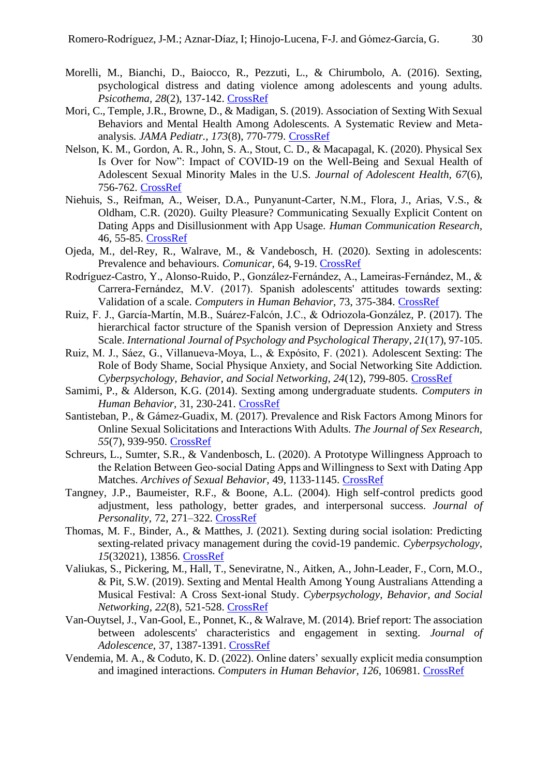- Morelli, M., Bianchi, D., Baiocco, R., Pezzuti, L., & Chirumbolo, A. (2016). Sexting, psychological distress and dating violence among adolescents and young adults. *Psicothema, 28*(2), 137-142. [CrossRef](https://doi.org/10.7334/psicothema2015.193)
- Mori, C., Temple, J.R., Browne, D., & Madigan, S. (2019). Association of Sexting With Sexual Behaviors and Mental Health Among Adolescents. A Systematic Review and Metaanalysis. *JAMA Pediatr., 173*(8), 770-779. [CrossRef](https://doi.org/10.1001/jamapediatrics.2019.1658)
- Nelson, K. M., Gordon, A. R., John, S. A., Stout, C. D., & Macapagal, K. (2020). Physical Sex Is Over for Now": Impact of COVID-19 on the Well-Being and Sexual Health of Adolescent Sexual Minority Males in the U.S. *Journal of Adolescent Health, 67*(6), 756-762. [CrossRef](https://doi.org/10.1016/j.jadohealth.2020.08.027)
- Niehuis, S., Reifman, A., Weiser, D.A., Punyanunt-Carter, N.M., Flora, J., Arias, V.S., & Oldham, C.R. (2020). Guilty Pleasure? Communicating Sexually Explicit Content on Dating Apps and Disillusionment with App Usage. *Human Communication Research,*  46, 55-85. [CrossRef](https://doi.org/10.1093/hcr/hqz013)
- Ojeda, M., del-Rey, R., Walrave, M., & Vandebosch, H. (2020). Sexting in adolescents: Prevalence and behaviours. *Comunicar,* 64, 9-19. [CrossRef](https://doi.org/10.3916/C64-2020-01)
- Rodríguez-Castro, Y., Alonso-Ruido, P., González-Fernández, A., Lameiras-Fernández, M., & Carrera-Fernández, M.V. (2017). Spanish adolescents' attitudes towards sexting: Validation of a scale. *Computers in Human Behavior*, 73, 375-384. [CrossRef](http://dx.doi.org/10.1016/j.chb.2017.03.049)
- Ruiz, F. J., García-Martín, M.B., Suárez-Falcón, J.C., & Odriozola-González, P. (2017). The hierarchical factor structure of the Spanish version of Depression Anxiety and Stress Scale. *International Journal of Psychology and Psychological Therapy*, *21*(17), 97-105.
- Ruiz, M. J., Sáez, G., Villanueva-Moya, L., & Expósito, F. (2021). Adolescent Sexting: The Role of Body Shame, Social Physique Anxiety, and Social Networking Site Addiction. *Cyberpsychology, Behavior, and Social Networking, 24*(12), 799-805. [CrossRef](https://doi.org/10.1089/cyber.2020.0719)
- Samimi, P., & Alderson, K.G. (2014). Sexting among undergraduate students. *Computers in Human Behavior,* 31, 230-241. [CrossRef](http://dx.doi.org/10.1016/j.chb.2013.10.027)
- Santisteban, P., & Gámez-Guadix, M. (2017). Prevalence and Risk Factors Among Minors for Online Sexual Solicitations and Interactions With Adults. *The Journal of Sex Research*, *55*(7), 939-950. [CrossRef](https://doi.org/10.1080/00224499.2017.1386763)
- Schreurs, L., Sumter, S.R., & Vandenbosch, L. (2020). A Prototype Willingness Approach to the Relation Between Geo‑social Dating Apps and Willingness to Sext with Dating App Matches. *Archives of Sexual Behavior*, 49, 1133-1145. [CrossRef](https://doi.org/10.1007/s10508-020-01671-5)
- Tangney, J.P., Baumeister, R.F., & Boone, A.L. (2004). High self-control predicts good adjustment, less pathology, better grades, and interpersonal success. *Journal of Personality,* 72, 271–322. [CrossRef](https://doi.org/10.1111/j.0022-3506.2004.00263.x)
- Thomas, M. F., Binder, A., & Matthes, J. (2021). Sexting during social isolation: Predicting sexting-related privacy management during the covid-19 pandemic. *Cyberpsychology*, *15*(32021), 13856. [CrossRef](https://doi.org/10.5817/CP2021-3-3)
- Valiukas, S., Pickering, M., Hall, T., Seneviratne, N., Aitken, A., John-Leader, F., Corn, M.O., & Pit, S.W. (2019). Sexting and Mental Health Among Young Australians Attending a Musical Festival: A Cross Sext-ional Study. *Cyberpsychology, Behavior, and Social Networking*, *22*(8), 521-528. [CrossRef](https://doi.org/10.1089/cyber.2018.0671)
- Van-Ouytsel, J., Van-Gool, E., Ponnet, K., & Walrave, M. (2014). Brief report: The association between adolescents' characteristics and engagement in sexting. *Journal of Adolescence,* 37, 1387-1391. [CrossRef](http://dx.doi.org/10.1016/j.adolescence.2014.10.004)
- Vendemia, M. A., & Coduto, K. D. (2022). Online daters' sexually explicit media consumption and imagined interactions. *Computers in Human Behavior, 126*, 106981. [CrossRef](https://doi.org/10.1016/j.chb.2021.106981)